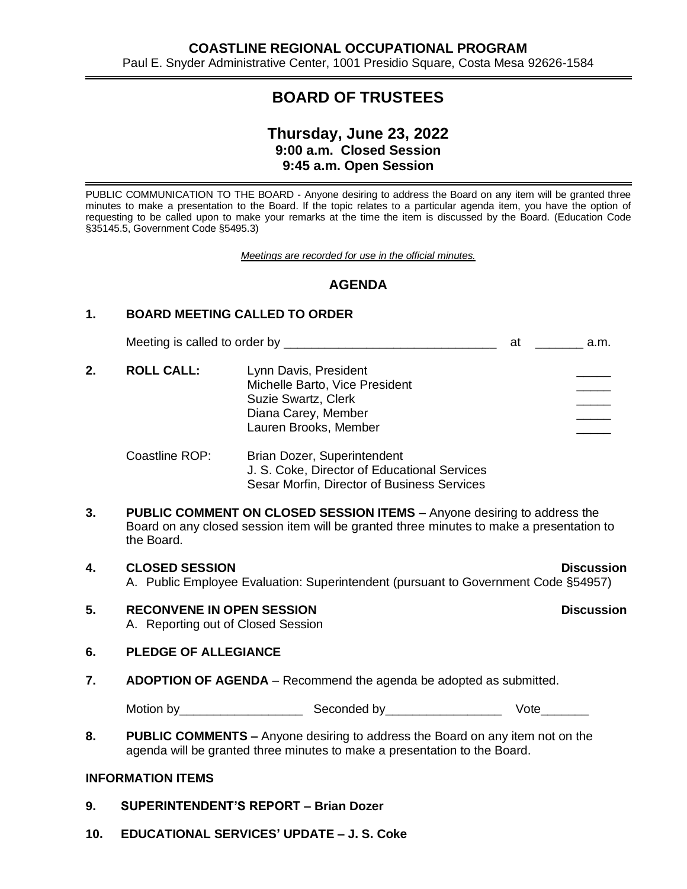# **BOARD OF TRUSTEES**

# **Thursday, June 23, 2022 9:00 a.m. Closed Session 9:45 a.m. Open Session**

 PUBLIC COMMUNICATION TO THE BOARD - Anyone desiring to address the Board on any item will be granted three minutes to make a presentation to the Board. If the topic relates to a particular agenda item, you have the option of requesting to be called upon to make your remarks at the time the item is discussed by the Board. (Education Code §35145.5, Government Code §5495.3)

*Meetings are recorded for use in the official minutes.*

# **AGENDA**

# **1. BOARD MEETING CALLED TO ORDER**

Meeting is called to order by \_\_\_\_\_\_\_\_\_\_\_\_\_\_\_\_\_\_\_\_\_\_\_\_\_\_\_\_\_\_\_ at \_\_\_\_\_\_\_ a.m. 2. **ROLL CALL:** Lynn Davis, President Michelle Barto, Vice President Suzie Swartz, Clerk Diana Carey, Member Lauren Brooks, Member

Coastline ROP: Brian Dozer, Superintendent J. S. Coke, Director of Educational Services Sesar Morfin, Director of Business Services

- **3. PUBLIC COMMENT ON CLOSED SESSION ITEMS**  Anyone desiring to address the Board on any closed session item will be granted three minutes to make a presentation to the Board.
- **4. CLOSED SESSION Discussion** A. Public Employee Evaluation: Superintendent (pursuant to Government Code §54957)
- **5. RECONVENE IN OPEN SESSION Discussion** A. Reporting out of Closed Session

### **6. PLEDGE OF ALLEGIANCE**

**7. ADOPTION OF AGENDA** – Recommend the agenda be adopted as submitted.

Motion by\_\_\_\_\_\_\_\_\_\_\_\_\_\_\_\_\_\_ Seconded by\_\_\_\_\_\_\_\_\_\_\_\_\_\_\_\_\_ Vote\_\_\_\_\_\_\_

**8. PUBLIC COMMENTS –** Anyone desiring to address the Board on any item not on the agenda will be granted three minutes to make a presentation to the Board.

## **INFORMATION ITEMS**

- **9. SUPERINTENDENT'S REPORT – Brian Dozer**
- **10. EDUCATIONAL SERVICES' UPDATE – J. S. Coke**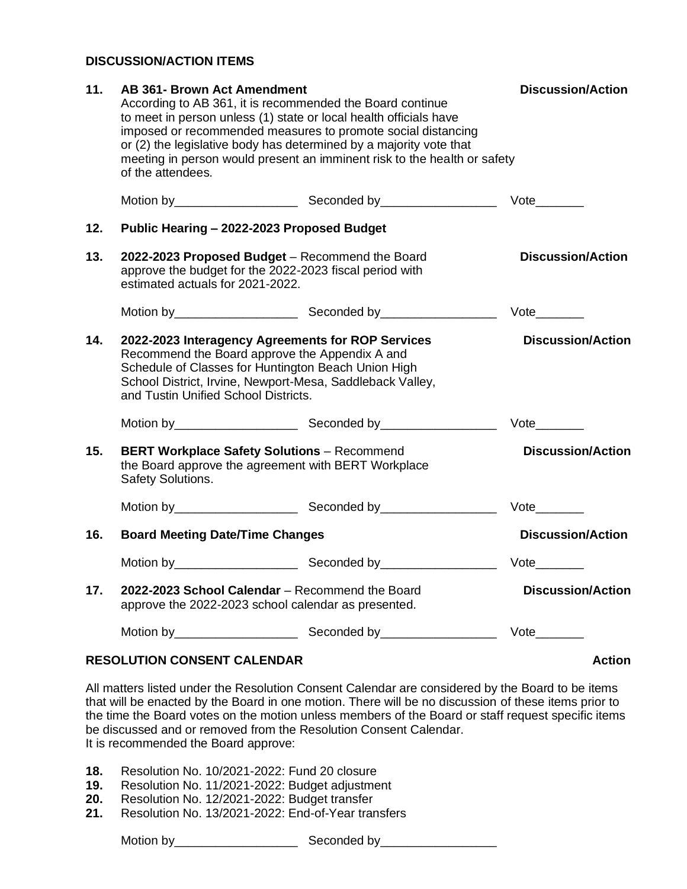# **DISCUSSION/ACTION ITEMS**

| 11. | <b>AB 361- Brown Act Amendment</b><br>According to AB 361, it is recommended the Board continue<br>to meet in person unless (1) state or local health officials have<br>imposed or recommended measures to promote social distancing<br>or (2) the legislative body has determined by a majority vote that<br>meeting in person would present an imminent risk to the health or safety<br>of the attendees. |                          | <b>Discussion/Action</b>    |
|-----|-------------------------------------------------------------------------------------------------------------------------------------------------------------------------------------------------------------------------------------------------------------------------------------------------------------------------------------------------------------------------------------------------------------|--------------------------|-----------------------------|
|     |                                                                                                                                                                                                                                                                                                                                                                                                             |                          | Vote                        |
| 12. | Public Hearing - 2022-2023 Proposed Budget                                                                                                                                                                                                                                                                                                                                                                  |                          |                             |
| 13. | 2022-2023 Proposed Budget - Recommend the Board<br>approve the budget for the 2022-2023 fiscal period with<br>estimated actuals for 2021-2022.                                                                                                                                                                                                                                                              | <b>Discussion/Action</b> |                             |
|     |                                                                                                                                                                                                                                                                                                                                                                                                             |                          | Vote                        |
| 14. | 2022-2023 Interagency Agreements for ROP Services<br>Recommend the Board approve the Appendix A and<br>Schedule of Classes for Huntington Beach Union High<br>School District, Irvine, Newport-Mesa, Saddleback Valley,<br>and Tustin Unified School Districts.                                                                                                                                             |                          | <b>Discussion/Action</b>    |
|     |                                                                                                                                                                                                                                                                                                                                                                                                             |                          | $Vote$ <sub>_________</sub> |
| 15. | <b>BERT Workplace Safety Solutions - Recommend</b><br>the Board approve the agreement with BERT Workplace<br>Safety Solutions.                                                                                                                                                                                                                                                                              |                          | <b>Discussion/Action</b>    |
|     |                                                                                                                                                                                                                                                                                                                                                                                                             |                          | $Vote$ <sub>_________</sub> |
| 16. | <b>Board Meeting Date/Time Changes</b>                                                                                                                                                                                                                                                                                                                                                                      |                          | <b>Discussion/Action</b>    |
|     |                                                                                                                                                                                                                                                                                                                                                                                                             |                          | Vote                        |
| 17. | 2022-2023 School Calendar - Recommend the Board<br>approve the 2022-2023 school calendar as presented.                                                                                                                                                                                                                                                                                                      |                          | <b>Discussion/Action</b>    |
|     |                                                                                                                                                                                                                                                                                                                                                                                                             |                          | Vote                        |
|     | <b>RESOLUTION CONSENT CALENDAR</b>                                                                                                                                                                                                                                                                                                                                                                          |                          | <b>Action</b>               |

All matters listed under the Resolution Consent Calendar are considered by the Board to be items that will be enacted by the Board in one motion. There will be no discussion of these items prior to the time the Board votes on the motion unless members of the Board or staff request specific items be discussed and or removed from the Resolution Consent Calendar. It is recommended the Board approve:

**18.** Resolution No. 10/2021-2022: Fund 20 closure

**19.** Resolution No. 11/2021-2022: Budget adjustment

**20.** Resolution No. 12/2021-2022: Budget transfer

**21.** Resolution No. 13/2021-2022: End-of-Year transfers

Motion by\_\_\_\_\_\_\_\_\_\_\_\_\_\_\_\_\_\_ Seconded by\_\_\_\_\_\_\_\_\_\_\_\_\_\_\_\_\_